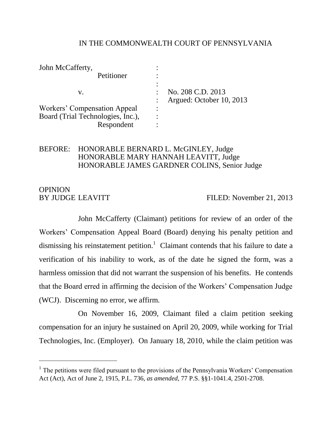### IN THE COMMONWEALTH COURT OF PENNSYLVANIA

| John McCafferty,                    |   |                          |
|-------------------------------------|---|--------------------------|
| Petitioner                          |   |                          |
|                                     |   |                          |
| v.                                  |   | No. 208 C.D. 2013        |
|                                     |   | Argued: October 10, 2013 |
| <b>Workers' Compensation Appeal</b> | ٠ |                          |
| Board (Trial Technologies, Inc.),   |   |                          |
| Respondent                          |   |                          |

### BEFORE: HONORABLE BERNARD L. McGINLEY, Judge HONORABLE MARY HANNAH LEAVITT, Judge HONORABLE JAMES GARDNER COLINS, Senior Judge

# **OPINION**

 $\overline{a}$ 

BY JUDGE LEAVITT FILED: November 21, 2013

John McCafferty (Claimant) petitions for review of an order of the Workers' Compensation Appeal Board (Board) denying his penalty petition and dismissing his reinstatement petition.<sup>1</sup> Claimant contends that his failure to date a verification of his inability to work, as of the date he signed the form, was a harmless omission that did not warrant the suspension of his benefits. He contends that the Board erred in affirming the decision of the Workers' Compensation Judge (WCJ). Discerning no error, we affirm.

On November 16, 2009, Claimant filed a claim petition seeking compensation for an injury he sustained on April 20, 2009, while working for Trial Technologies, Inc. (Employer). On January 18, 2010, while the claim petition was

<sup>&</sup>lt;sup>1</sup> The petitions were filed pursuant to the provisions of the Pennsylvania Workers' Compensation Act (Act), Act of June 2, 1915, P.L. 736, *as amended*, 77 P.S. §§1-1041.4, 2501-2708.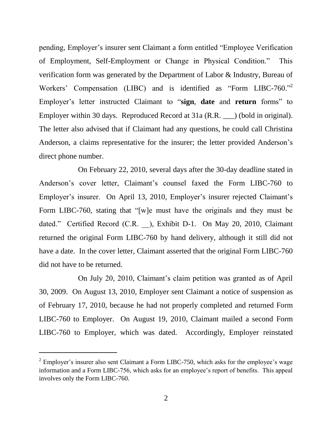pending, Employer's insurer sent Claimant a form entitled "Employee Verification of Employment, Self-Employment or Change in Physical Condition." This verification form was generated by the Department of Labor & Industry, Bureau of Workers' Compensation (LIBC) and is identified as "Form LIBC-760."<sup>2</sup> Employer's letter instructed Claimant to "**sign**, **date** and **return** forms" to Employer within 30 days. Reproduced Record at 31a (R.R.  $\Box$ ) (bold in original). The letter also advised that if Claimant had any questions, he could call Christina Anderson, a claims representative for the insurer; the letter provided Anderson's direct phone number.

On February 22, 2010, several days after the 30-day deadline stated in Anderson's cover letter, Claimant's counsel faxed the Form LIBC-760 to Employer's insurer. On April 13, 2010, Employer's insurer rejected Claimant's Form LIBC-760, stating that "[w]e must have the originals and they must be dated." Certified Record (C.R. ), Exhibit D-1. On May 20, 2010, Claimant returned the original Form LIBC-760 by hand delivery, although it still did not have a date. In the cover letter, Claimant asserted that the original Form LIBC-760 did not have to be returned.

On July 20, 2010, Claimant's claim petition was granted as of April 30, 2009. On August 13, 2010, Employer sent Claimant a notice of suspension as of February 17, 2010, because he had not properly completed and returned Form LIBC-760 to Employer. On August 19, 2010, Claimant mailed a second Form LIBC-760 to Employer, which was dated. Accordingly, Employer reinstated

 $2$  Employer's insurer also sent Claimant a Form LIBC-750, which asks for the employee's wage information and a Form LIBC-756, which asks for an employee's report of benefits. This appeal involves only the Form LIBC-760.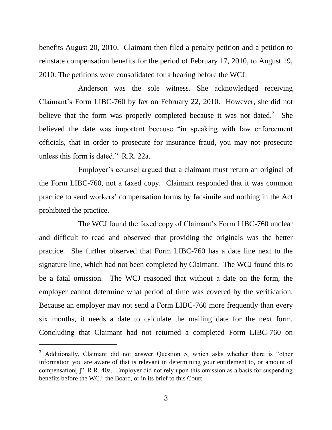benefits August 20, 2010. Claimant then filed a penalty petition and a petition to reinstate compensation benefits for the period of February 17, 2010, to August 19, 2010. The petitions were consolidated for a hearing before the WCJ.

Anderson was the sole witness. She acknowledged receiving Claimant's Form LIBC-760 by fax on February 22, 2010. However, she did not believe that the form was properly completed because it was not dated.<sup>3</sup> She believed the date was important because "in speaking with law enforcement officials, that in order to prosecute for insurance fraud, you may not prosecute unless this form is dated." R.R. 22a.

Employer's counsel argued that a claimant must return an original of the Form LIBC-760, not a faxed copy. Claimant responded that it was common practice to send workers' compensation forms by facsimile and nothing in the Act prohibited the practice.

The WCJ found the faxed copy of Claimant's Form LIBC-760 unclear and difficult to read and observed that providing the originals was the better practice. She further observed that Form LIBC-760 has a date line next to the signature line, which had not been completed by Claimant. The WCJ found this to be a fatal omission. The WCJ reasoned that without a date on the form, the employer cannot determine what period of time was covered by the verification. Because an employer may not send a Form LIBC-760 more frequently than every six months, it needs a date to calculate the mailing date for the next form. Concluding that Claimant had not returned a completed Form LIBC-760 on

<sup>&</sup>lt;sup>3</sup> Additionally, Claimant did not answer Question 5, which asks whether there is "other information you are aware of that is relevant in determining your entitlement to, or amount of compensation[.]" R.R. 40a. Employer did not rely upon this omission as a basis for suspending benefits before the WCJ, the Board, or in its brief to this Court.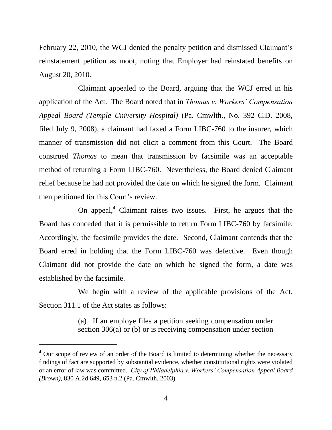February 22, 2010, the WCJ denied the penalty petition and dismissed Claimant's reinstatement petition as moot, noting that Employer had reinstated benefits on August 20, 2010.

Claimant appealed to the Board, arguing that the WCJ erred in his application of the Act. The Board noted that in *Thomas v. Workers' Compensation Appeal Board (Temple University Hospital)* (Pa. Cmwlth., No. 392 C.D. 2008, filed July 9, 2008), a claimant had faxed a Form LIBC-760 to the insurer, which manner of transmission did not elicit a comment from this Court. The Board construed *Thomas* to mean that transmission by facsimile was an acceptable method of returning a Form LIBC-760. Nevertheless, the Board denied Claimant relief because he had not provided the date on which he signed the form. Claimant then petitioned for this Court's review.

On appeal, $\alpha$ <sup>4</sup> Claimant raises two issues. First, he argues that the Board has conceded that it is permissible to return Form LIBC-760 by facsimile. Accordingly, the facsimile provides the date. Second, Claimant contends that the Board erred in holding that the Form LIBC-760 was defective. Even though Claimant did not provide the date on which he signed the form, a date was established by the facsimile.

We begin with a review of the applicable provisions of the Act. Section 311.1 of the Act states as follows:

> (a) If an employe files a petition seeking compensation under section 306(a) or (b) or is receiving compensation under section

<sup>&</sup>lt;sup>4</sup> Our scope of review of an order of the Board is limited to determining whether the necessary findings of fact are supported by substantial evidence, whether constitutional rights were violated or an error of law was committed. *City of Philadelphia v. Workers' Compensation Appeal Board (Brown)*, 830 A.2d 649, 653 n.2 (Pa. Cmwlth. 2003).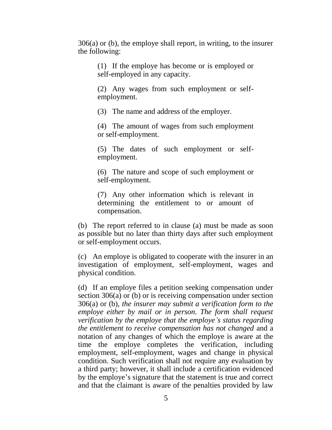306(a) or (b), the employe shall report, in writing, to the insurer the following:

(1) If the employe has become or is employed or self-employed in any capacity.

(2) Any wages from such employment or selfemployment.

(3) The name and address of the employer.

(4) The amount of wages from such employment or self-employment.

(5) The dates of such employment or selfemployment.

(6) The nature and scope of such employment or self-employment.

(7) Any other information which is relevant in determining the entitlement to or amount of compensation.

(b) The report referred to in clause (a) must be made as soon as possible but no later than thirty days after such employment or self-employment occurs.

(c) An employe is obligated to cooperate with the insurer in an investigation of employment, self-employment, wages and physical condition.

(d) If an employe files a petition seeking compensation under section 306(a) or (b) or is receiving compensation under section 306(a) or (b), *the insurer may submit a verification form to the employe either by mail or in person. The form shall request verification by the employe that the employe's status regarding the entitlement to receive compensation has not changed* and a notation of any changes of which the employe is aware at the time the employe completes the verification, including employment, self-employment, wages and change in physical condition. Such verification shall not require any evaluation by a third party; however, it shall include a certification evidenced by the employe's signature that the statement is true and correct and that the claimant is aware of the penalties provided by law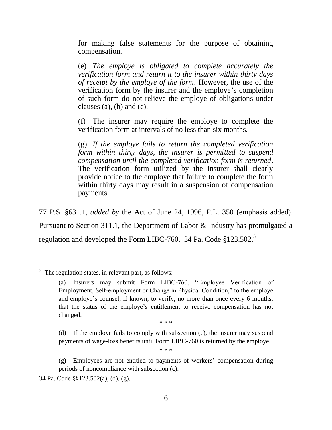for making false statements for the purpose of obtaining compensation.

(e) *The employe is obligated to complete accurately the verification form and return it to the insurer within thirty days of receipt by the employe of the form*. However, the use of the verification form by the insurer and the employe's completion of such form do not relieve the employe of obligations under clauses (a), (b) and (c).

(f) The insurer may require the employe to complete the verification form at intervals of no less than six months.

(g) *If the employe fails to return the completed verification form within thirty days, the insurer is permitted to suspend compensation until the completed verification form is returned*. The verification form utilized by the insurer shall clearly provide notice to the employe that failure to complete the form within thirty days may result in a suspension of compensation payments.

77 P.S. §631.1, *added by* the Act of June 24, 1996, P.L. 350 (emphasis added). Pursuant to Section 311.1, the Department of Labor & Industry has promulgated a regulation and developed the Form LIBC-760. 34 Pa. Code  $$123.502<sup>5</sup>$ 

 $\overline{a}$ 

\* \* \*

(d) If the employe fails to comply with subsection (c), the insurer may suspend payments of wage-loss benefits until Form LIBC-760 is returned by the employe.

\* \* \*

 $<sup>5</sup>$  The regulation states, in relevant part, as follows:</sup>

<sup>(</sup>a) Insurers may submit Form LIBC-760, "Employee Verification of Employment, Self-employment or Change in Physical Condition," to the employe and employe's counsel, if known, to verify, no more than once every 6 months, that the status of the employe's entitlement to receive compensation has not changed.

<sup>(</sup>g) Employees are not entitled to payments of workers' compensation during periods of noncompliance with subsection (c).

<sup>34</sup> Pa. Code §§123.502(a), (d), (g).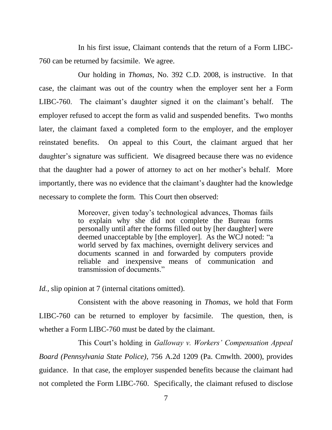In his first issue, Claimant contends that the return of a Form LIBC-760 can be returned by facsimile. We agree.

Our holding in *Thomas*, No. 392 C.D. 2008, is instructive. In that case, the claimant was out of the country when the employer sent her a Form LIBC-760. The claimant's daughter signed it on the claimant's behalf. The employer refused to accept the form as valid and suspended benefits. Two months later, the claimant faxed a completed form to the employer, and the employer reinstated benefits. On appeal to this Court, the claimant argued that her daughter's signature was sufficient. We disagreed because there was no evidence that the daughter had a power of attorney to act on her mother's behalf. More importantly, there was no evidence that the claimant's daughter had the knowledge necessary to complete the form. This Court then observed:

> Moreover, given today's technological advances, Thomas fails to explain why she did not complete the Bureau forms personally until after the forms filled out by [her daughter] were deemed unacceptable by [the employer]. As the WCJ noted: "a world served by fax machines, overnight delivery services and documents scanned in and forwarded by computers provide reliable and inexpensive means of communication and transmission of documents."

*Id.*, slip opinion at 7 (internal citations omitted).

Consistent with the above reasoning in *Thomas*, we hold that Form LIBC-760 can be returned to employer by facsimile. The question, then, is whether a Form LIBC-760 must be dated by the claimant.

This Court's holding in *Galloway v. Workers' Compensation Appeal Board (Pennsylvania State Police)*, 756 A.2d 1209 (Pa. Cmwlth. 2000), provides guidance. In that case, the employer suspended benefits because the claimant had not completed the Form LIBC-760. Specifically, the claimant refused to disclose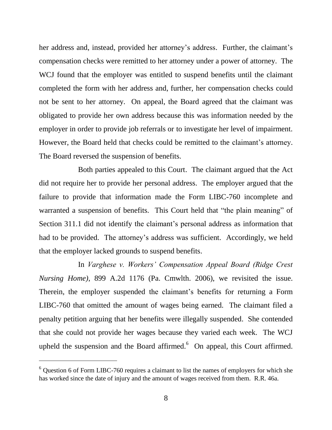her address and, instead, provided her attorney's address. Further, the claimant's compensation checks were remitted to her attorney under a power of attorney. The WCJ found that the employer was entitled to suspend benefits until the claimant completed the form with her address and, further, her compensation checks could not be sent to her attorney. On appeal, the Board agreed that the claimant was obligated to provide her own address because this was information needed by the employer in order to provide job referrals or to investigate her level of impairment. However, the Board held that checks could be remitted to the claimant's attorney. The Board reversed the suspension of benefits.

Both parties appealed to this Court. The claimant argued that the Act did not require her to provide her personal address. The employer argued that the failure to provide that information made the Form LIBC-760 incomplete and warranted a suspension of benefits. This Court held that "the plain meaning" of Section 311.1 did not identify the claimant's personal address as information that had to be provided. The attorney's address was sufficient. Accordingly, we held that the employer lacked grounds to suspend benefits.

In *Varghese v. Workers' Compensation Appeal Board (Ridge Crest Nursing Home)*, 899 A.2d 1176 (Pa. Cmwlth. 2006), we revisited the issue. Therein, the employer suspended the claimant's benefits for returning a Form LIBC-760 that omitted the amount of wages being earned. The claimant filed a penalty petition arguing that her benefits were illegally suspended. She contended that she could not provide her wages because they varied each week. The WCJ upheld the suspension and the Board affirmed. $<sup>6</sup>$  On appeal, this Court affirmed.</sup>

<sup>6</sup> Question 6 of Form LIBC-760 requires a claimant to list the names of employers for which she has worked since the date of injury and the amount of wages received from them. R.R. 46a.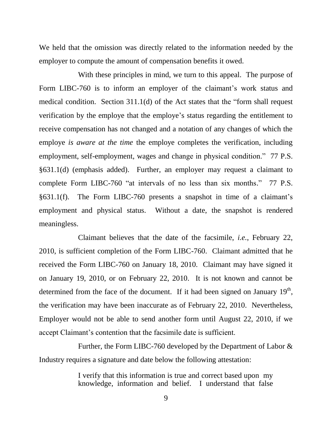We held that the omission was directly related to the information needed by the employer to compute the amount of compensation benefits it owed.

With these principles in mind, we turn to this appeal. The purpose of Form LIBC-760 is to inform an employer of the claimant's work status and medical condition. Section 311.1(d) of the Act states that the "form shall request verification by the employe that the employe's status regarding the entitlement to receive compensation has not changed and a notation of any changes of which the employe *is aware at the time* the employe completes the verification, including employment, self-employment, wages and change in physical condition." 77 P.S. §631.1(d) (emphasis added). Further, an employer may request a claimant to complete Form LIBC-760 "at intervals of no less than six months." 77 P.S. §631.1(f). The Form LIBC-760 presents a snapshot in time of a claimant's employment and physical status. Without a date, the snapshot is rendered meaningless.

Claimant believes that the date of the facsimile, *i.e.*, February 22, 2010, is sufficient completion of the Form LIBC-760. Claimant admitted that he received the Form LIBC-760 on January 18, 2010. Claimant may have signed it on January 19, 2010, or on February 22, 2010. It is not known and cannot be determined from the face of the document. If it had been signed on January  $19<sup>th</sup>$ , the verification may have been inaccurate as of February 22, 2010. Nevertheless, Employer would not be able to send another form until August 22, 2010, if we accept Claimant's contention that the facsimile date is sufficient.

Further, the Form LIBC-760 developed by the Department of Labor & Industry requires a signature and date below the following attestation:

> I verify that this information is true and correct based upon my knowledge, information and belief. I understand that false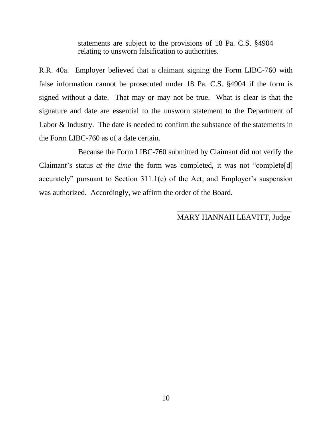statements are subject to the provisions of 18 Pa. C.S. §4904 relating to unsworn falsification to authorities.

R.R. 40a. Employer believed that a claimant signing the Form LIBC-760 with false information cannot be prosecuted under 18 Pa. C.S. §4904 if the form is signed without a date. That may or may not be true. What is clear is that the signature and date are essential to the unsworn statement to the Department of Labor & Industry. The date is needed to confirm the substance of the statements in the Form LIBC-760 as of a date certain.

Because the Form LIBC-760 submitted by Claimant did not verify the Claimant's status *at the time* the form was completed, it was not "complete[d] accurately" pursuant to Section 311.1(e) of the Act, and Employer's suspension was authorized. Accordingly, we affirm the order of the Board.

## MARY HANNAH LEAVITT, Judge

 $\frac{1}{\sqrt{2}}$  ,  $\frac{1}{\sqrt{2}}$  ,  $\frac{1}{\sqrt{2}}$  ,  $\frac{1}{\sqrt{2}}$  ,  $\frac{1}{\sqrt{2}}$  ,  $\frac{1}{\sqrt{2}}$  ,  $\frac{1}{\sqrt{2}}$  ,  $\frac{1}{\sqrt{2}}$  ,  $\frac{1}{\sqrt{2}}$  ,  $\frac{1}{\sqrt{2}}$  ,  $\frac{1}{\sqrt{2}}$  ,  $\frac{1}{\sqrt{2}}$  ,  $\frac{1}{\sqrt{2}}$  ,  $\frac{1}{\sqrt{2}}$  ,  $\frac{1}{\sqrt{2}}$